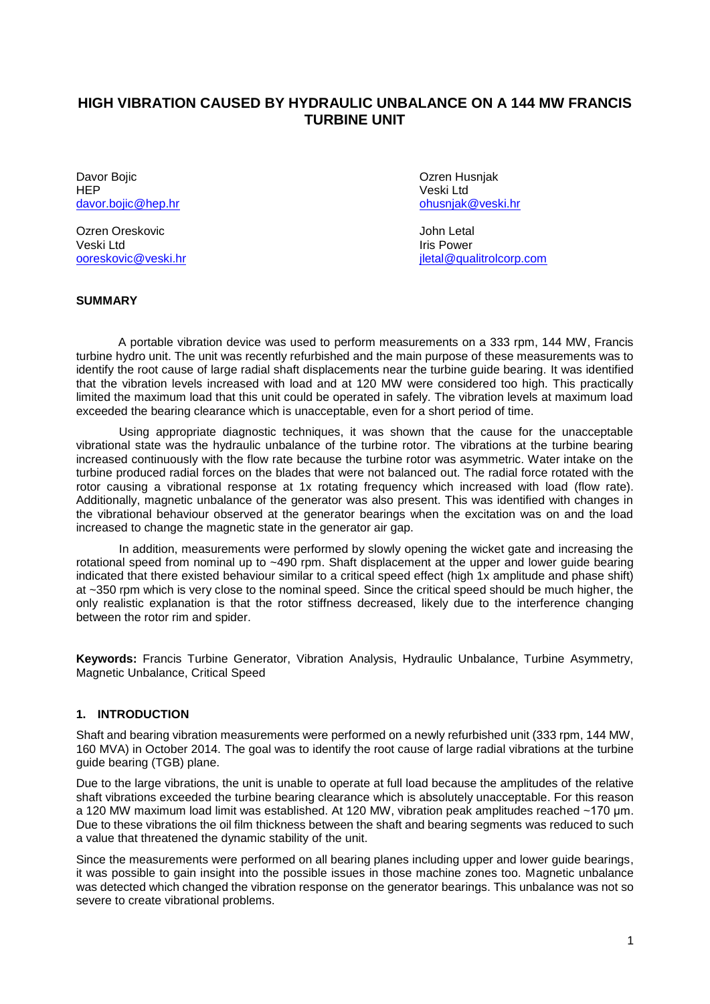# **HIGH VIBRATION CAUSED BY HYDRAULIC UNBALANCE ON A 144 MW FRANCIS TURBINE UNIT**

Davor Bojic **Davor Bojic Davor Bojic Davor Bojic Davor Bojic Ozren Husnjak** HEP<br>
davor.boiic@hep.hr<br>
davor.boiic@hep.hr [davor.bojic@hep.hr](mailto:davor.bojic@hep.hr)

Ozren Oreskovic **Galacter Contract Contract Contract Contract Contract Contract Contract Contract Contract Contract Contract Contract Contract Contract Contract Contract Contract Contract Contract Contract Contract Contrac** Veski Ltd<br>
ooreskovic@veski.hr<br>
ooreskovic@veski.hr

iletal@qualitrolcorp.com

### **SUMMARY**

A portable vibration device was used to perform measurements on a 333 rpm, 144 MW, Francis turbine hydro unit. The unit was recently refurbished and the main purpose of these measurements was to identify the root cause of large radial shaft displacements near the turbine guide bearing. It was identified that the vibration levels increased with load and at 120 MW were considered too high. This practically limited the maximum load that this unit could be operated in safely. The vibration levels at maximum load exceeded the bearing clearance which is unacceptable, even for a short period of time.

Using appropriate diagnostic techniques, it was shown that the cause for the unacceptable vibrational state was the hydraulic unbalance of the turbine rotor. The vibrations at the turbine bearing increased continuously with the flow rate because the turbine rotor was asymmetric. Water intake on the turbine produced radial forces on the blades that were not balanced out. The radial force rotated with the rotor causing a vibrational response at 1x rotating frequency which increased with load (flow rate). Additionally, magnetic unbalance of the generator was also present. This was identified with changes in the vibrational behaviour observed at the generator bearings when the excitation was on and the load increased to change the magnetic state in the generator air gap.

In addition, measurements were performed by slowly opening the wicket gate and increasing the rotational speed from nominal up to ~490 rpm. Shaft displacement at the upper and lower quide bearing indicated that there existed behaviour similar to a critical speed effect (high 1x amplitude and phase shift) at ~350 rpm which is very close to the nominal speed. Since the critical speed should be much higher, the only realistic explanation is that the rotor stiffness decreased, likely due to the interference changing between the rotor rim and spider.

**Keywords:** Francis Turbine Generator, Vibration Analysis, Hydraulic Unbalance, Turbine Asymmetry, Magnetic Unbalance, Critical Speed

## **1. INTRODUCTION**

Shaft and bearing vibration measurements were performed on a newly refurbished unit (333 rpm, 144 MW, 160 MVA) in October 2014. The goal was to identify the root cause of large radial vibrations at the turbine guide bearing (TGB) plane.

Due to the large vibrations, the unit is unable to operate at full load because the amplitudes of the relative shaft vibrations exceeded the turbine bearing clearance which is absolutely unacceptable. For this reason a 120 MW maximum load limit was established. At 120 MW, vibration peak amplitudes reached ~170 µm. Due to these vibrations the oil film thickness between the shaft and bearing segments was reduced to such a value that threatened the dynamic stability of the unit.

Since the measurements were performed on all bearing planes including upper and lower guide bearings, it was possible to gain insight into the possible issues in those machine zones too. Magnetic unbalance was detected which changed the vibration response on the generator bearings. This unbalance was not so severe to create vibrational problems.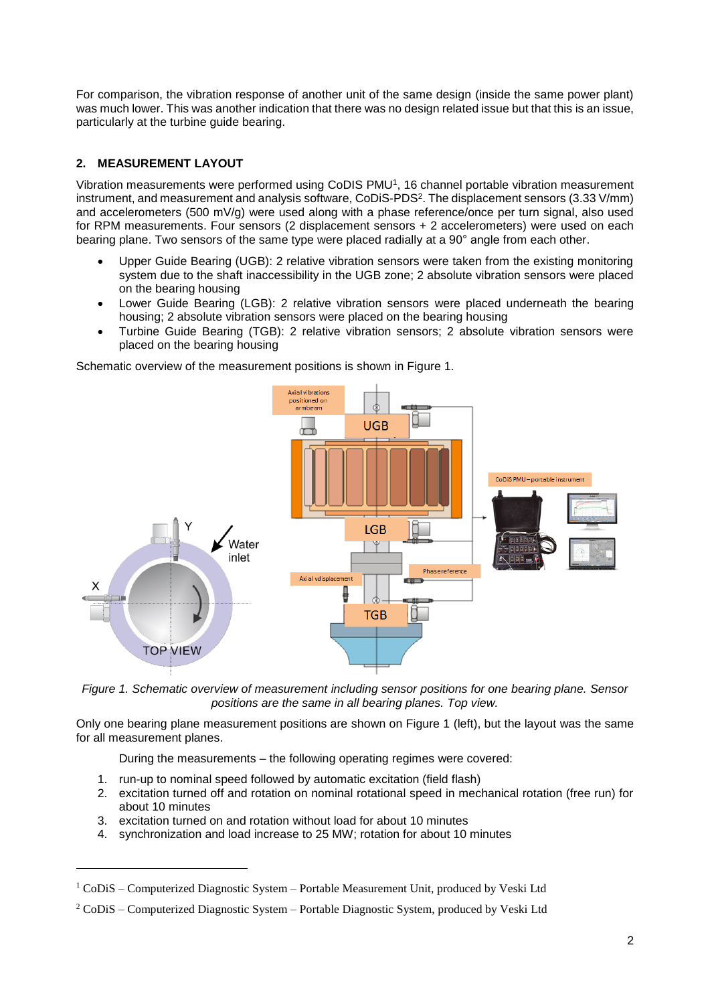For comparison, the vibration response of another unit of the same design (inside the same power plant) was much lower. This was another indication that there was no design related issue but that this is an issue, particularly at the turbine guide bearing.

# **2. MEASUREMENT LAYOUT**

Vibration measurements were performed using CoDIS PMU<sup>1</sup>, 16 channel portable vibration measurement instrument, and measurement and analysis software, CoDiS-PDS<sup>2</sup> . The displacement sensors (3.33 V/mm) and accelerometers (500 mV/g) were used along with a phase reference/once per turn signal, also used for RPM measurements. Four sensors (2 displacement sensors + 2 accelerometers) were used on each bearing plane. Two sensors of the same type were placed radially at a 90° angle from each other.

- Upper Guide Bearing (UGB): 2 relative vibration sensors were taken from the existing monitoring system due to the shaft inaccessibility in the UGB zone; 2 absolute vibration sensors were placed on the bearing housing
- Lower Guide Bearing (LGB): 2 relative vibration sensors were placed underneath the bearing housing; 2 absolute vibration sensors were placed on the bearing housing
- Turbine Guide Bearing (TGB): 2 relative vibration sensors; 2 absolute vibration sensors were placed on the bearing housing

Axial vibrations positioned on<br>armbeam **UGB** CoDiS PMU - portable instrun LGB Water  $\phi$ inlet Phase reference .<br>Axial vdisplacement **KETTE**  $\mathsf{x}$ Д ₫ Ì **TGB TOP VIEW** 

Schematic overview of the measurement positions is shown in Figure 1.



Only one bearing plane measurement positions are shown on Figure 1 (left), but the layout was the same for all measurement planes.

During the measurements – the following operating regimes were covered:

- 1. run-up to nominal speed followed by automatic excitation (field flash)
- 2. excitation turned off and rotation on nominal rotational speed in mechanical rotation (free run) for about 10 minutes
- 3. excitation turned on and rotation without load for about 10 minutes

 $\overline{a}$ 

4. synchronization and load increase to 25 MW; rotation for about 10 minutes

 $1$  CoDiS – Computerized Diagnostic System – Portable Measurement Unit, produced by Veski Ltd

<sup>2</sup> CoDiS – Computerized Diagnostic System – Portable Diagnostic System, produced by Veski Ltd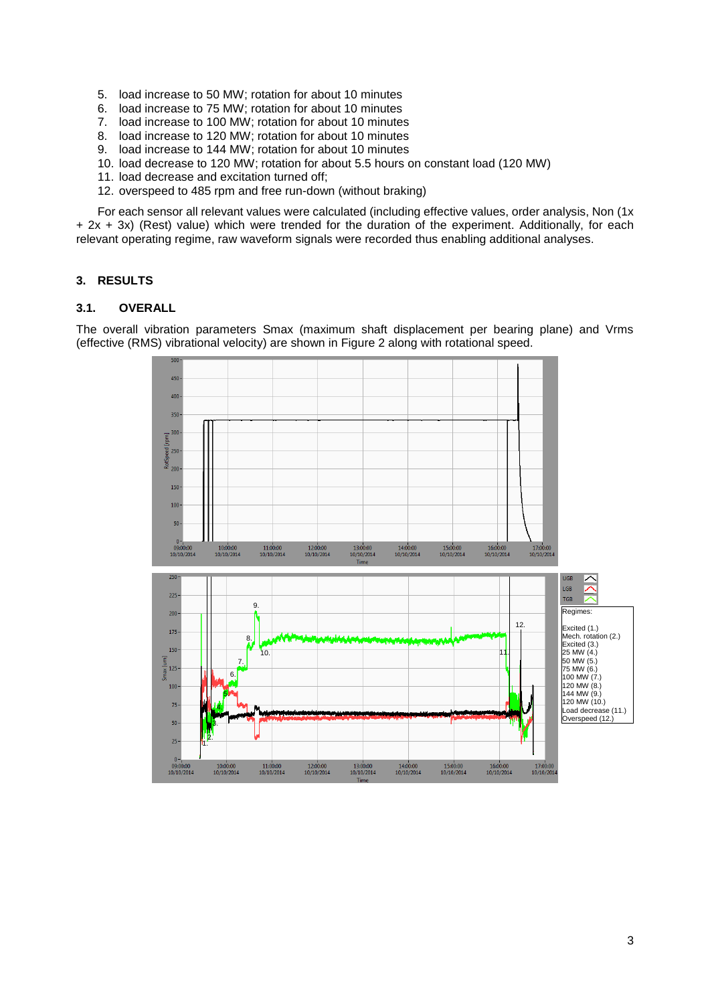- 5. load increase to 50 MW; rotation for about 10 minutes
- 6. load increase to 75 MW; rotation for about 10 minutes
- 7. load increase to 100 MW; rotation for about 10 minutes
- 8. load increase to 120 MW; rotation for about 10 minutes
- 9. load increase to 144 MW; rotation for about 10 minutes
- 10. load decrease to 120 MW; rotation for about 5.5 hours on constant load (120 MW)
- 11. load decrease and excitation turned off;
- 12. overspeed to 485 rpm and free run-down (without braking)

For each sensor all relevant values were calculated (including effective values, order analysis, Non (1x + 2x + 3x) (Rest) value) which were trended for the duration of the experiment. Additionally, for each relevant operating regime, raw waveform signals were recorded thus enabling additional analyses.

### **3. RESULTS**

## **3.1. OVERALL**

The overall vibration parameters Smax (maximum shaft displacement per bearing plane) and Vrms (effective (RMS) vibrational velocity) are shown in Figure 2 along with rotational speed.

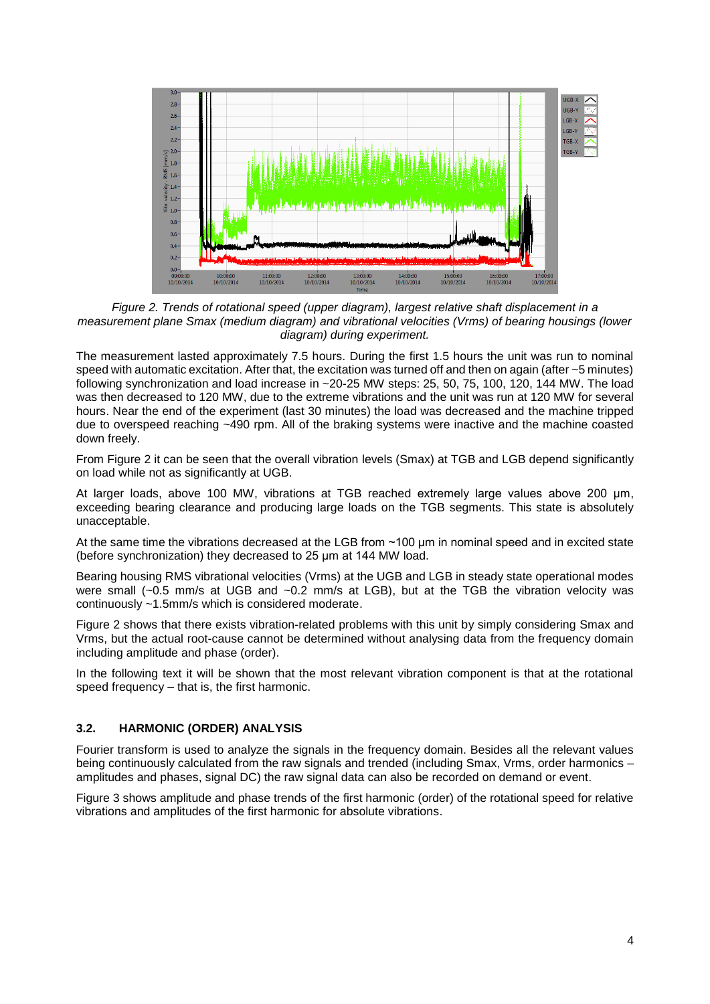

*Figure 2. Trends of rotational speed (upper diagram), largest relative shaft displacement in a measurement plane Smax (medium diagram) and vibrational velocities (Vrms) of bearing housings (lower diagram) during experiment.*

The measurement lasted approximately 7.5 hours. During the first 1.5 hours the unit was run to nominal speed with automatic excitation. After that, the excitation was turned off and then on again (after ~5 minutes) following synchronization and load increase in ~20-25 MW steps: 25, 50, 75, 100, 120, 144 MW. The load was then decreased to 120 MW, due to the extreme vibrations and the unit was run at 120 MW for several hours. Near the end of the experiment (last 30 minutes) the load was decreased and the machine tripped due to overspeed reaching ~490 rpm. All of the braking systems were inactive and the machine coasted down freely.

From Figure 2 it can be seen that the overall vibration levels (Smax) at TGB and LGB depend significantly on load while not as significantly at UGB.

At larger loads, above 100 MW, vibrations at TGB reached extremely large values above 200 µm, exceeding bearing clearance and producing large loads on the TGB segments. This state is absolutely unacceptable.

At the same time the vibrations decreased at the LGB from ~100 µm in nominal speed and in excited state (before synchronization) they decreased to 25 µm at 144 MW load.

Bearing housing RMS vibrational velocities (Vrms) at the UGB and LGB in steady state operational modes were small (~0.5 mm/s at UGB and ~0.2 mm/s at LGB), but at the TGB the vibration velocity was continuously ~1.5mm/s which is considered moderate.

Figure 2 shows that there exists vibration-related problems with this unit by simply considering Smax and Vrms, but the actual root-cause cannot be determined without analysing data from the frequency domain including amplitude and phase (order).

In the following text it will be shown that the most relevant vibration component is that at the rotational speed frequency – that is, the first harmonic.

## **3.2. HARMONIC (ORDER) ANALYSIS**

Fourier transform is used to analyze the signals in the frequency domain. Besides all the relevant values being continuously calculated from the raw signals and trended (including Smax, Vrms, order harmonics – amplitudes and phases, signal DC) the raw signal data can also be recorded on demand or event.

Figure 3 shows amplitude and phase trends of the first harmonic (order) of the rotational speed for relative vibrations and amplitudes of the first harmonic for absolute vibrations.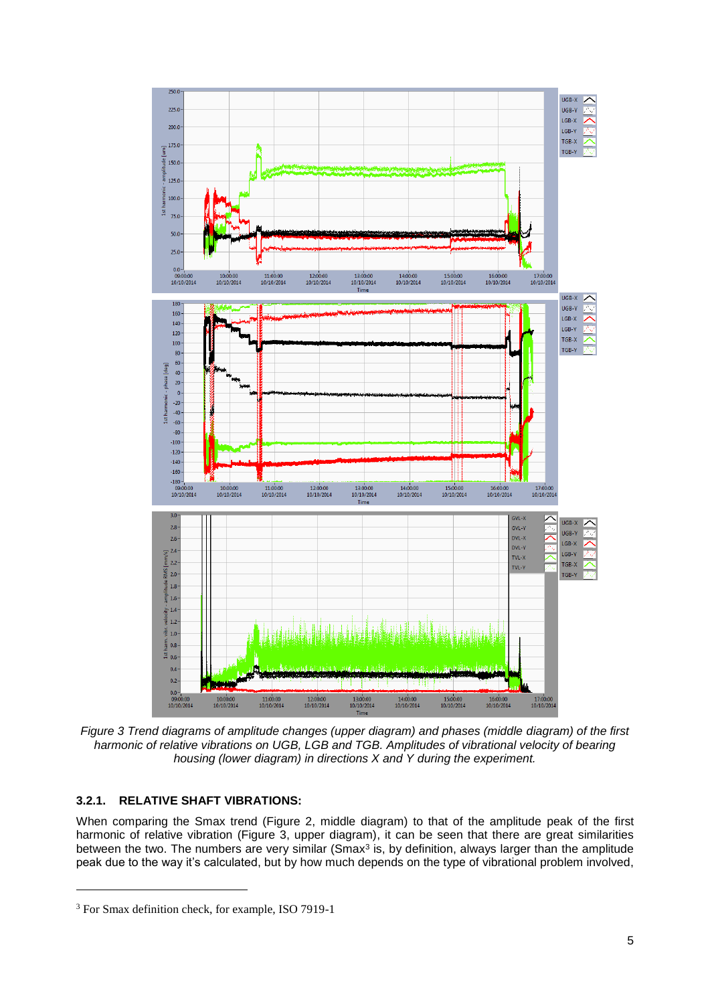

*Figure 3 Trend diagrams of amplitude changes (upper diagram) and phases (middle diagram) of the first harmonic of relative vibrations on UGB, LGB and TGB. Amplitudes of vibrational velocity of bearing housing (lower diagram) in directions X and Y during the experiment.*

## **3.2.1. RELATIVE SHAFT VIBRATIONS:**

 $\overline{a}$ 

When comparing the Smax trend (Figure 2, middle diagram) to that of the amplitude peak of the first harmonic of relative vibration (Figure 3, upper diagram), it can be seen that there are great similarities between the two. The numbers are very similar (Smax<sup>3</sup> is, by definition, always larger than the amplitude peak due to the way it's calculated, but by how much depends on the type of vibrational problem involved,

<sup>3</sup> For Smax definition check, for example, ISO 7919-1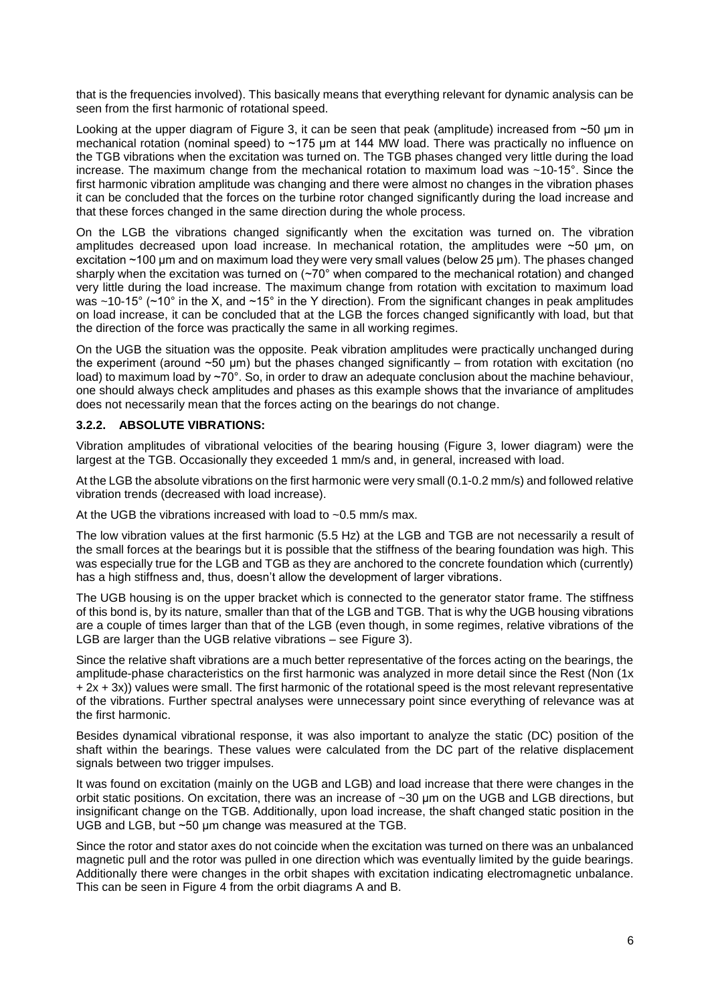that is the frequencies involved). This basically means that everything relevant for dynamic analysis can be seen from the first harmonic of rotational speed.

Looking at the upper diagram of Figure 3, it can be seen that peak (amplitude) increased from  $\sim$ 50 um in mechanical rotation (nominal speed) to ~175 µm at 144 MW load. There was practically no influence on the TGB vibrations when the excitation was turned on. The TGB phases changed very little during the load increase. The maximum change from the mechanical rotation to maximum load was ~10-15°. Since the first harmonic vibration amplitude was changing and there were almost no changes in the vibration phases it can be concluded that the forces on the turbine rotor changed significantly during the load increase and that these forces changed in the same direction during the whole process.

On the LGB the vibrations changed significantly when the excitation was turned on. The vibration amplitudes decreased upon load increase. In mechanical rotation, the amplitudes were  $\sim$ 50 µm, on excitation ~100 µm and on maximum load they were very small values (below 25 µm). The phases changed sharply when the excitation was turned on  $(\sim 70^{\circ}$  when compared to the mechanical rotation) and changed very little during the load increase. The maximum change from rotation with excitation to maximum load was ~10-15° (~10° in the X, and ~15° in the Y direction). From the significant changes in peak amplitudes on load increase, it can be concluded that at the LGB the forces changed significantly with load, but that the direction of the force was practically the same in all working regimes.

On the UGB the situation was the opposite. Peak vibration amplitudes were practically unchanged during the experiment (around  $\sim$  50 µm) but the phases changed significantly – from rotation with excitation (no load) to maximum load by ~70°. So, in order to draw an adequate conclusion about the machine behaviour, one should always check amplitudes and phases as this example shows that the invariance of amplitudes does not necessarily mean that the forces acting on the bearings do not change.

## **3.2.2. ABSOLUTE VIBRATIONS:**

Vibration amplitudes of vibrational velocities of the bearing housing (Figure 3, lower diagram) were the largest at the TGB. Occasionally they exceeded 1 mm/s and, in general, increased with load.

At the LGB the absolute vibrations on the first harmonic were very small (0.1-0.2 mm/s) and followed relative vibration trends (decreased with load increase).

At the UGB the vibrations increased with load to ~0.5 mm/s max.

The low vibration values at the first harmonic (5.5 Hz) at the LGB and TGB are not necessarily a result of the small forces at the bearings but it is possible that the stiffness of the bearing foundation was high. This was especially true for the LGB and TGB as they are anchored to the concrete foundation which (currently) has a high stiffness and, thus, doesn't allow the development of larger vibrations.

The UGB housing is on the upper bracket which is connected to the generator stator frame. The stiffness of this bond is, by its nature, smaller than that of the LGB and TGB. That is why the UGB housing vibrations are a couple of times larger than that of the LGB (even though, in some regimes, relative vibrations of the LGB are larger than the UGB relative vibrations – see Figure 3).

Since the relative shaft vibrations are a much better representative of the forces acting on the bearings, the amplitude-phase characteristics on the first harmonic was analyzed in more detail since the Rest (Non (1x + 2x + 3x)) values were small. The first harmonic of the rotational speed is the most relevant representative of the vibrations. Further spectral analyses were unnecessary point since everything of relevance was at the first harmonic.

Besides dynamical vibrational response, it was also important to analyze the static (DC) position of the shaft within the bearings. These values were calculated from the DC part of the relative displacement signals between two trigger impulses.

It was found on excitation (mainly on the UGB and LGB) and load increase that there were changes in the orbit static positions. On excitation, there was an increase of ~30 µm on the UGB and LGB directions, but insignificant change on the TGB. Additionally, upon load increase, the shaft changed static position in the UGB and LGB, but ~50 µm change was measured at the TGB.

Since the rotor and stator axes do not coincide when the excitation was turned on there was an unbalanced magnetic pull and the rotor was pulled in one direction which was eventually limited by the guide bearings. Additionally there were changes in the orbit shapes with excitation indicating electromagnetic unbalance. This can be seen in Figure 4 from the orbit diagrams A and B.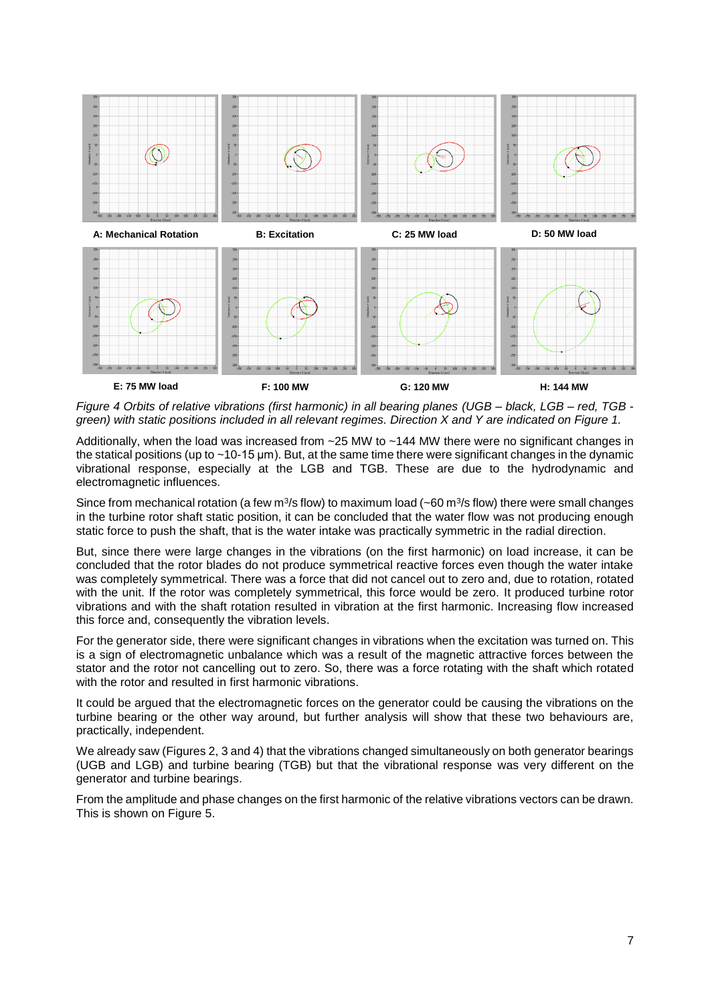

*Figure 4 Orbits of relative vibrations (first harmonic) in all bearing planes (UGB – black, LGB – red, TGB green) with static positions included in all relevant regimes. Direction X and Y are indicated on Figure 1.*

Additionally, when the load was increased from  $\sim$ 25 MW to  $\sim$ 144 MW there were no significant changes in the statical positions (up to ~10-15 µm). But, at the same time there were significant changes in the dynamic vibrational response, especially at the LGB and TGB. These are due to the hydrodynamic and electromagnetic influences.

Since from mechanical rotation (a few m<sup>3</sup>/s flow) to maximum load (~60 m<sup>3</sup>/s flow) there were small changes in the turbine rotor shaft static position, it can be concluded that the water flow was not producing enough static force to push the shaft, that is the water intake was practically symmetric in the radial direction.

But, since there were large changes in the vibrations (on the first harmonic) on load increase, it can be concluded that the rotor blades do not produce symmetrical reactive forces even though the water intake was completely symmetrical. There was a force that did not cancel out to zero and, due to rotation, rotated with the unit. If the rotor was completely symmetrical, this force would be zero. It produced turbine rotor vibrations and with the shaft rotation resulted in vibration at the first harmonic. Increasing flow increased this force and, consequently the vibration levels.

For the generator side, there were significant changes in vibrations when the excitation was turned on. This is a sign of electromagnetic unbalance which was a result of the magnetic attractive forces between the stator and the rotor not cancelling out to zero. So, there was a force rotating with the shaft which rotated with the rotor and resulted in first harmonic vibrations.

It could be argued that the electromagnetic forces on the generator could be causing the vibrations on the turbine bearing or the other way around, but further analysis will show that these two behaviours are, practically, independent.

We already saw (Figures 2, 3 and 4) that the vibrations changed simultaneously on both generator bearings (UGB and LGB) and turbine bearing (TGB) but that the vibrational response was very different on the generator and turbine bearings.

From the amplitude and phase changes on the first harmonic of the relative vibrations vectors can be drawn. This is shown on Figure 5.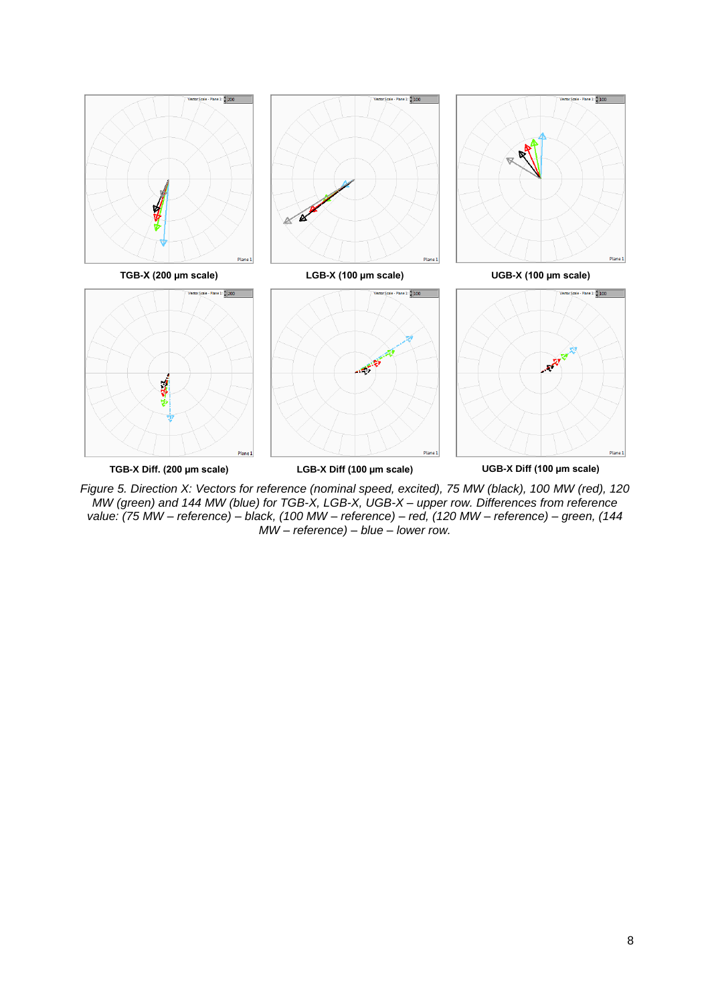

*Figure 5. Direction X: Vectors for reference (nominal speed, excited), 75 MW (black), 100 MW (red), 120 MW (green) and 144 MW (blue) for TGB-X, LGB-X, UGB-X – upper row. Differences from reference value: (75 MW – reference) – black, (100 MW – reference) – red, (120 MW – reference) – green, (144 MW – reference) – blue – lower row.*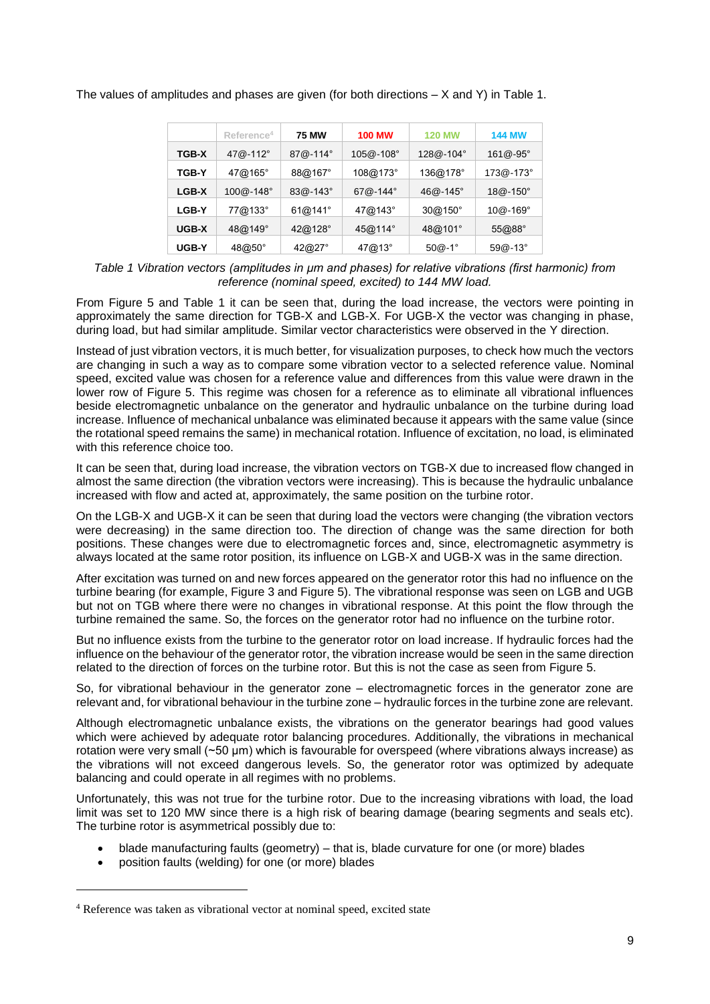|              | Reference <sup>4</sup> | <b>75 MW</b> | <b>100 MW</b> | <b>120 MW</b> | <b>144 MW</b> |
|--------------|------------------------|--------------|---------------|---------------|---------------|
| <b>TGB-X</b> | 47@-112°               | 87@-114°     | 105@-108°     | $128@ - 104°$ | $161@ - 95°$  |
| <b>TGB-Y</b> | 47@165°                | 88@167°      | 108@173°      | 136@178°      | 173@-173°     |
| <b>LGB-X</b> | 100@-148°              | $83@ - 143°$ | $67@ - 144°$  | $46@ - 145°$  | $18@ - 150°$  |
| <b>LGB-Y</b> | 77@133°                | 61@141°      | 47@143°       | 30@150°       | $10@ - 169°$  |
| UGB-X        | 48@149°                | 42@128°      | 45@114°       | 48@101°       | 55@88°        |
| UGB-Y        | 48@50°                 | 42@27°       | 47@13°        | $50@-1°$      | $59@ - 13°$   |

The values of amplitudes and phases are given (for both directions – X and Y) in Table 1.

*Table 1 Vibration vectors (amplitudes in µm and phases) for relative vibrations (first harmonic) from reference (nominal speed, excited) to 144 MW load.*

From Figure 5 and Table 1 it can be seen that, during the load increase, the vectors were pointing in approximately the same direction for TGB-X and LGB-X. For UGB-X the vector was changing in phase, during load, but had similar amplitude. Similar vector characteristics were observed in the Y direction.

Instead of just vibration vectors, it is much better, for visualization purposes, to check how much the vectors are changing in such a way as to compare some vibration vector to a selected reference value. Nominal speed, excited value was chosen for a reference value and differences from this value were drawn in the lower row of Figure 5. This regime was chosen for a reference as to eliminate all vibrational influences beside electromagnetic unbalance on the generator and hydraulic unbalance on the turbine during load increase. Influence of mechanical unbalance was eliminated because it appears with the same value (since the rotational speed remains the same) in mechanical rotation. Influence of excitation, no load, is eliminated with this reference choice too.

It can be seen that, during load increase, the vibration vectors on TGB-X due to increased flow changed in almost the same direction (the vibration vectors were increasing). This is because the hydraulic unbalance increased with flow and acted at, approximately, the same position on the turbine rotor.

On the LGB-X and UGB-X it can be seen that during load the vectors were changing (the vibration vectors were decreasing) in the same direction too. The direction of change was the same direction for both positions. These changes were due to electromagnetic forces and, since, electromagnetic asymmetry is always located at the same rotor position, its influence on LGB-X and UGB-X was in the same direction.

After excitation was turned on and new forces appeared on the generator rotor this had no influence on the turbine bearing (for example, Figure 3 and Figure 5). The vibrational response was seen on LGB and UGB but not on TGB where there were no changes in vibrational response. At this point the flow through the turbine remained the same. So, the forces on the generator rotor had no influence on the turbine rotor.

But no influence exists from the turbine to the generator rotor on load increase. If hydraulic forces had the influence on the behaviour of the generator rotor, the vibration increase would be seen in the same direction related to the direction of forces on the turbine rotor. But this is not the case as seen from Figure 5.

So, for vibrational behaviour in the generator zone – electromagnetic forces in the generator zone are relevant and, for vibrational behaviour in the turbine zone – hydraulic forces in the turbine zone are relevant.

Although electromagnetic unbalance exists, the vibrations on the generator bearings had good values which were achieved by adequate rotor balancing procedures. Additionally, the vibrations in mechanical rotation were very small (~50 µm) which is favourable for overspeed (where vibrations always increase) as the vibrations will not exceed dangerous levels. So, the generator rotor was optimized by adequate balancing and could operate in all regimes with no problems.

Unfortunately, this was not true for the turbine rotor. Due to the increasing vibrations with load, the load limit was set to 120 MW since there is a high risk of bearing damage (bearing segments and seals etc). The turbine rotor is asymmetrical possibly due to:

- blade manufacturing faults (geometry) that is, blade curvature for one (or more) blades
- position faults (welding) for one (or more) blades

 $\overline{a}$ 

<sup>4</sup> Reference was taken as vibrational vector at nominal speed, excited state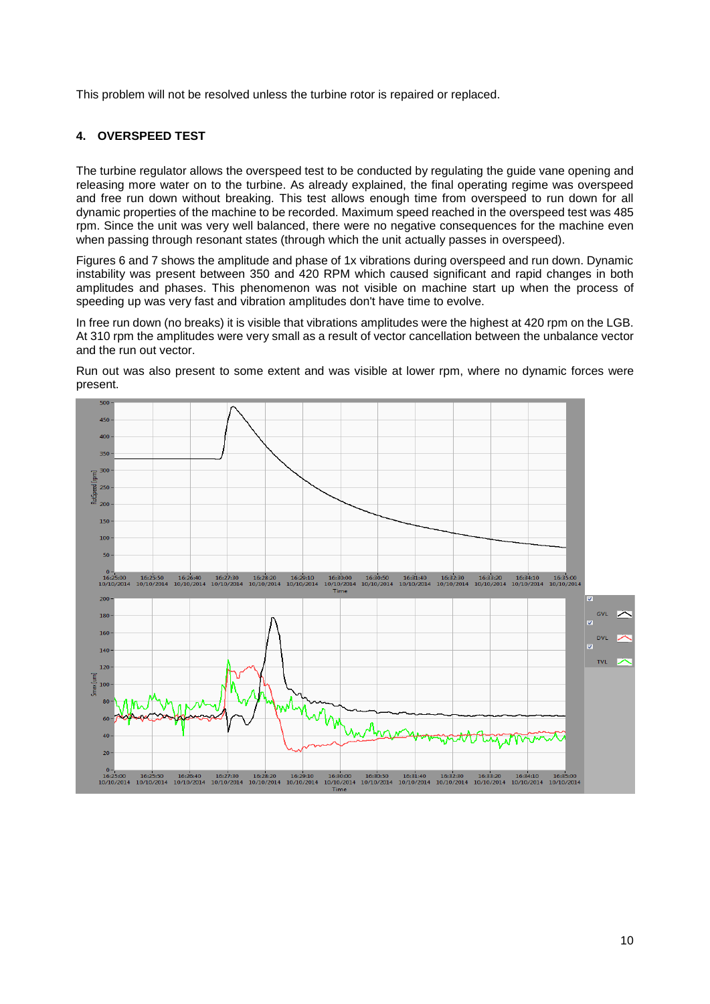This problem will not be resolved unless the turbine rotor is repaired or replaced.

## **4. OVERSPEED TEST**

The turbine regulator allows the overspeed test to be conducted by regulating the guide vane opening and releasing more water on to the turbine. As already explained, the final operating regime was overspeed and free run down without breaking. This test allows enough time from overspeed to run down for all dynamic properties of the machine to be recorded. Maximum speed reached in the overspeed test was 485 rpm. Since the unit was very well balanced, there were no negative consequences for the machine even when passing through resonant states (through which the unit actually passes in overspeed).

Figures 6 and 7 shows the amplitude and phase of 1x vibrations during overspeed and run down. Dynamic instability was present between 350 and 420 RPM which caused significant and rapid changes in both amplitudes and phases. This phenomenon was not visible on machine start up when the process of speeding up was very fast and vibration amplitudes don't have time to evolve.

In free run down (no breaks) it is visible that vibrations amplitudes were the highest at 420 rpm on the LGB. At 310 rpm the amplitudes were very small as a result of vector cancellation between the unbalance vector and the run out vector.

Run out was also present to some extent and was visible at lower rpm, where no dynamic forces were present.

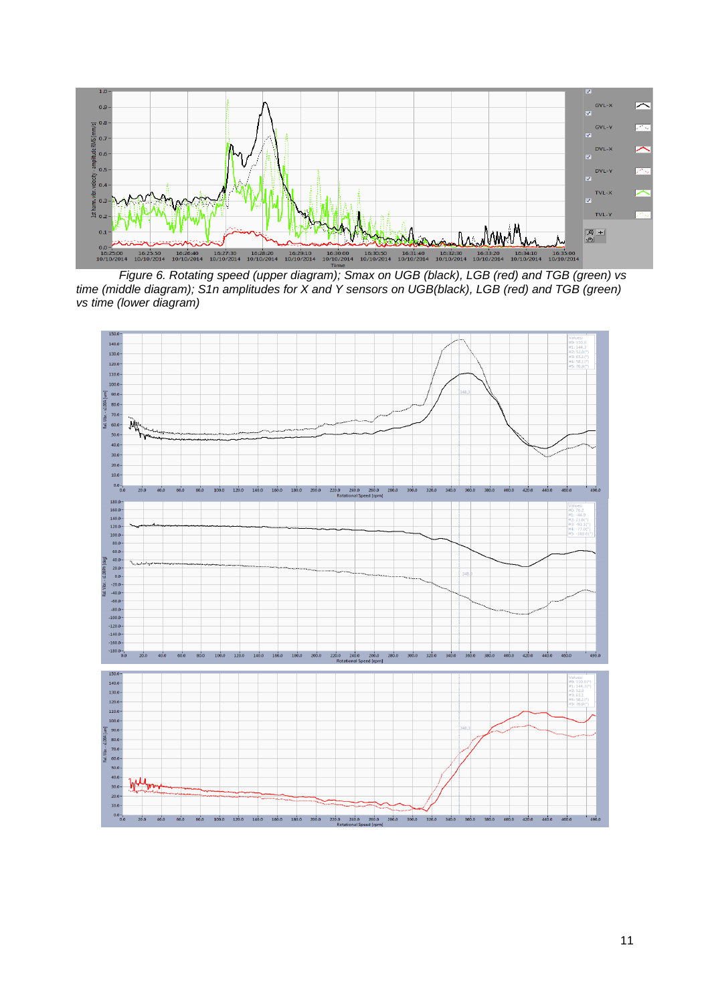

*Figure 6. Rotating speed (upper diagram); Smax on UGB (black), LGB (red) and TGB (green) vs time (middle diagram); S1n amplitudes for X and Y sensors on UGB(black), LGB (red) and TGB (green) vs time (lower diagram)*

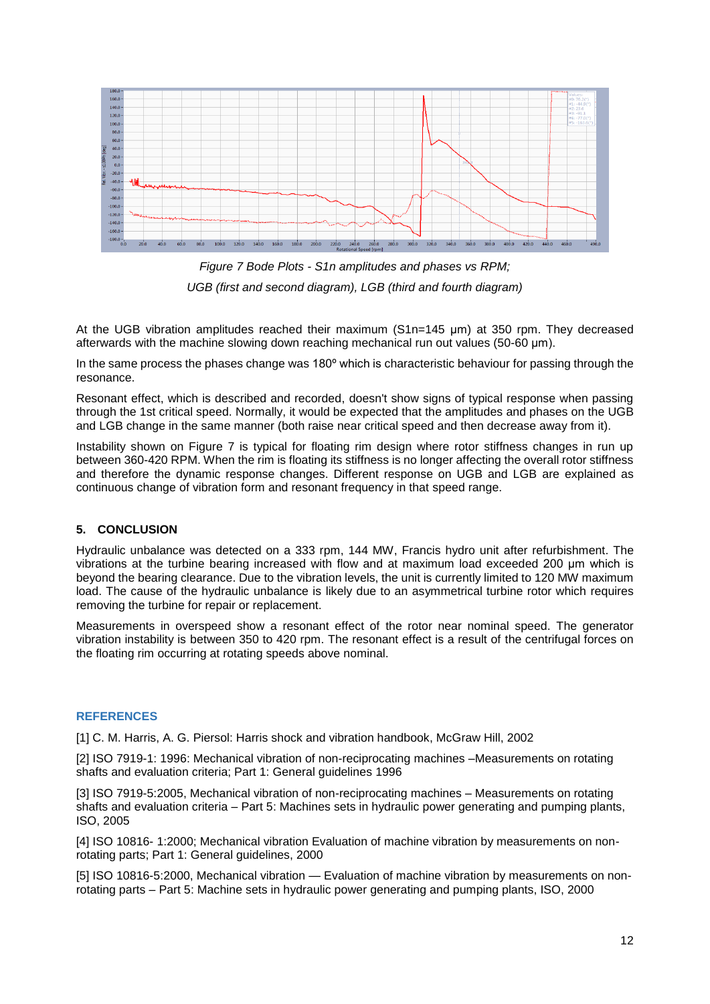

*Figure 7 Bode Plots - S1n amplitudes and phases vs RPM; UGB (first and second diagram), LGB (third and fourth diagram)*

At the UGB vibration amplitudes reached their maximum (S1n=145 µm) at 350 rpm. They decreased afterwards with the machine slowing down reaching mechanical run out values (50-60 µm).

In the same process the phases change was 180° which is characteristic behaviour for passing through the resonance.

Resonant effect, which is described and recorded, doesn't show signs of typical response when passing through the 1st critical speed. Normally, it would be expected that the amplitudes and phases on the UGB and LGB change in the same manner (both raise near critical speed and then decrease away from it).

Instability shown on Figure 7 is typical for floating rim design where rotor stiffness changes in run up between 360-420 RPM. When the rim is floating its stiffness is no longer affecting the overall rotor stiffness and therefore the dynamic response changes. Different response on UGB and LGB are explained as continuous change of vibration form and resonant frequency in that speed range.

## **5. CONCLUSION**

Hydraulic unbalance was detected on a 333 rpm, 144 MW, Francis hydro unit after refurbishment. The vibrations at the turbine bearing increased with flow and at maximum load exceeded 200 µm which is beyond the bearing clearance. Due to the vibration levels, the unit is currently limited to 120 MW maximum load. The cause of the hydraulic unbalance is likely due to an asymmetrical turbine rotor which requires removing the turbine for repair or replacement.

Measurements in overspeed show a resonant effect of the rotor near nominal speed. The generator vibration instability is between 350 to 420 rpm. The resonant effect is a result of the centrifugal forces on the floating rim occurring at rotating speeds above nominal.

## **REFERENCES**

[1] C. M. Harris, A. G. Piersol: Harris shock and vibration handbook, McGraw Hill, 2002

[2] ISO 7919-1: 1996: Mechanical vibration of non-reciprocating machines –Measurements on rotating shafts and evaluation criteria; Part 1: General guidelines 1996

[3] ISO 7919-5:2005, Mechanical vibration of non-reciprocating machines – Measurements on rotating shafts and evaluation criteria – Part 5: Machines sets in hydraulic power generating and pumping plants, ISO, 2005

[4] ISO 10816- 1:2000; Mechanical vibration Evaluation of machine vibration by measurements on nonrotating parts; Part 1: General guidelines, 2000

[5] ISO 10816-5:2000, Mechanical vibration — Evaluation of machine vibration by measurements on nonrotating parts – Part 5: Machine sets in hydraulic power generating and pumping plants, ISO, 2000